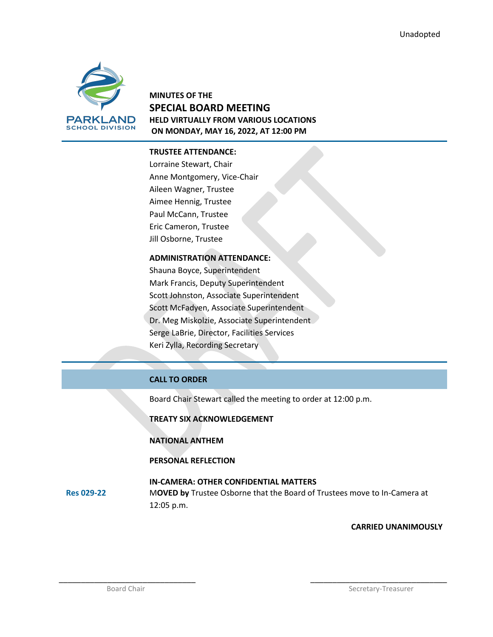

## **MINUTES OF THE SPECIAL BOARD MEETING HELD VIRTUALLY FROM VARIOUS LOCATIONS ON MONDAY, MAY 16, 2022, AT 12:00 PM**

#### **TRUSTEE ATTENDANCE:**

Lorraine Stewart, Chair Anne Montgomery, Vice-Chair Aileen Wagner, Trustee Aimee Hennig, Trustee Paul McCann, Trustee Eric Cameron, Trustee Jill Osborne, Trustee

### **ADMINISTRATION ATTENDANCE:**

Shauna Boyce, Superintendent Mark Francis, Deputy Superintendent Scott Johnston, Associate Superintendent Scott McFadyen, Associate Superintendent Dr. Meg Miskolzie, Associate Superintendent Serge LaBrie, Director, Facilities Services Keri Zylla, Recording Secretary

### **CALL TO ORDER**

Board Chair Stewart called the meeting to order at 12:00 p.m.

**TREATY SIX ACKNOWLEDGEMENT**

**NATIONAL ANTHEM**

**PERSONAL REFLECTION**

#### **Res 029-22 IN-CAMERA: OTHER CONFIDENTIAL MATTERS** M**OVED by** Trustee Osborne that the Board of Trustees move to In-Camera at 12:05 p.m.

\_\_\_\_\_\_\_\_\_\_\_\_\_\_\_\_\_\_\_\_\_\_\_\_\_\_\_\_\_\_\_ \_\_\_\_\_\_\_\_\_\_\_\_\_\_\_\_\_\_\_\_\_\_\_\_\_\_\_\_\_\_\_

**CARRIED UNANIMOUSLY**